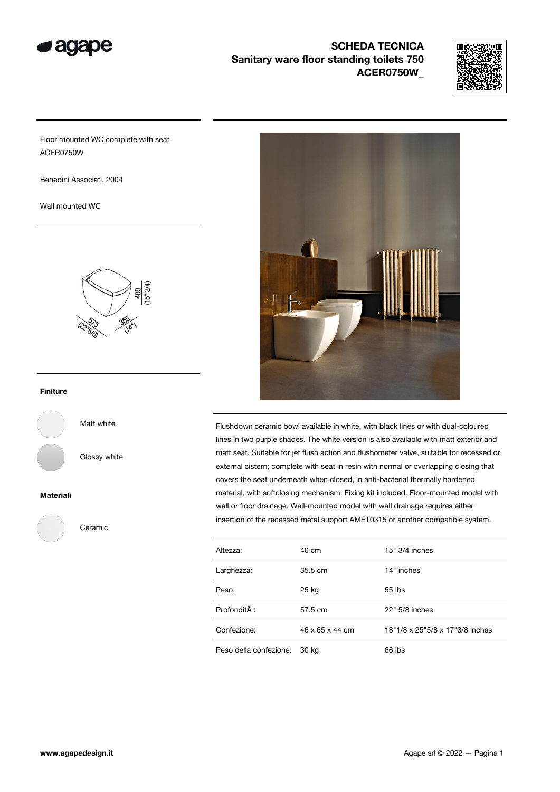

# SCHEDA TECNICA Sanitary ware floor standing toilets 750 ACER0750W\_



Floor mounted WC complete with seat ACER0750W\_

Benedini Associati, 2004

Wall mounted WC



### Finiture

Matt white

Glossy white

#### Materiali

Ceramic



Flushdown ceramic bowl available in white, with black lines or with dual-coloured lines in two purple shades. The white version is also available with matt exterior and matt seat. Suitable for jet flush action and flushometer valve, suitable for recessed or external cistern; complete with seat in resin with normal or overlapping closing that covers the seat underneath when closed, in anti-bacterial thermally hardened material, with softclosing mechanism. Fixing kit included. Floor-mounted model with wall or floor drainage. Wall-mounted model with wall drainage requires either insertion of the recessed metal support AMET0315 or another compatible system.

| Altezza:               | 40 cm             | $15" 3/4$ inches                |
|------------------------|-------------------|---------------------------------|
| Larghezza:             | $35.5 \text{ cm}$ | 14" inches                      |
| Peso:                  | 25 kg             | 55 lbs                          |
| Profondità :           | 57.5 cm           | 22" 5/8 inches                  |
| Confezione:            | 46 x 65 x 44 cm   | 18"1/8 x 25"5/8 x 17"3/8 inches |
| Peso della confezione: | 30 kg             | 66 lbs                          |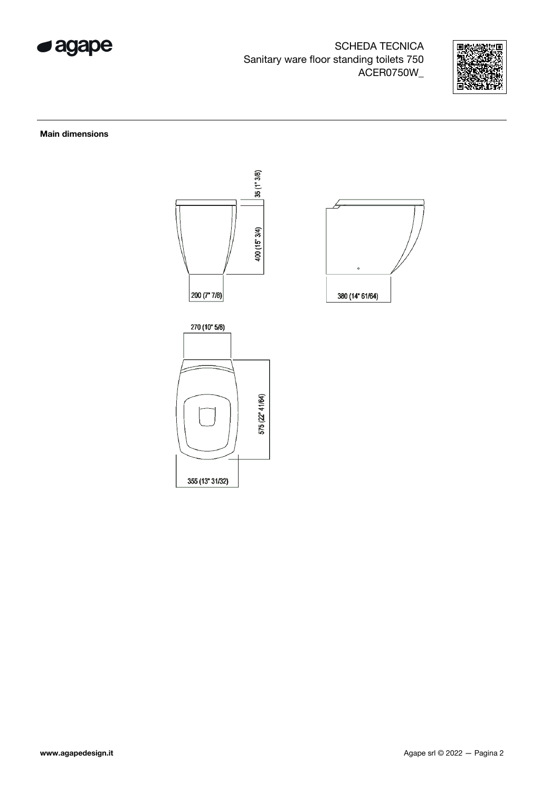

SCHEDA TECNICA Sanitary ware floor standing toilets 750 ACER0750W\_



### Main dimensions